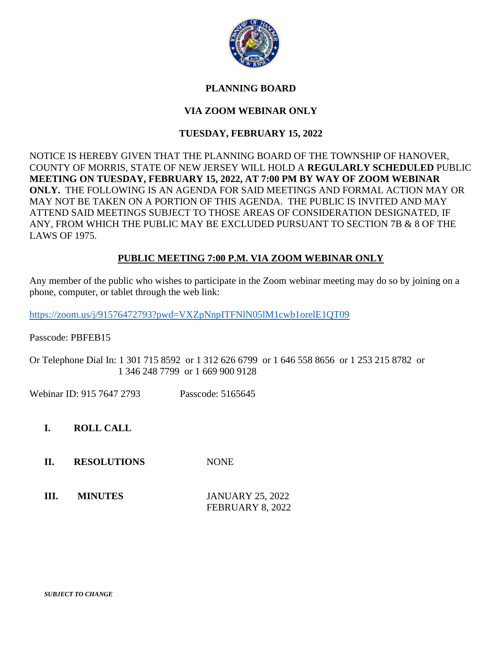

## **PLANNING BOARD**

# **VIA ZOOM WEBINAR ONLY**

## **TUESDAY, FEBRUARY 15, 2022**

NOTICE IS HEREBY GIVEN THAT THE PLANNING BOARD OF THE TOWNSHIP OF HANOVER, COUNTY OF MORRIS, STATE OF NEW JERSEY WILL HOLD A **REGULARLY SCHEDULED** PUBLIC **MEETING ON TUESDAY, FEBRUARY 15, 2022, AT 7:00 PM BY WAY OF ZOOM WEBINAR ONLY.** THE FOLLOWING IS AN AGENDA FOR SAID MEETINGS AND FORMAL ACTION MAY OR MAY NOT BE TAKEN ON A PORTION OF THIS AGENDA. THE PUBLIC IS INVITED AND MAY ATTEND SAID MEETINGS SUBJECT TO THOSE AREAS OF CONSIDERATION DESIGNATED, IF ANY, FROM WHICH THE PUBLIC MAY BE EXCLUDED PURSUANT TO SECTION 7B & 8 OF THE LAWS OF 1975.

## **PUBLIC MEETING 7:00 P.M. VIA ZOOM WEBINAR ONLY**

Any member of the public who wishes to participate in the Zoom webinar meeting may do so by joining on a phone, computer, or tablet through the web link:

<https://zoom.us/j/91576472793?pwd=VXZpNnpITFNlN05lM1cwb1orelE1QT09>

Passcode: PBFEB15

Or Telephone Dial In: 1 301 715 8592 or 1 312 626 6799 or 1 646 558 8656 or 1 253 215 8782 or 1 346 248 7799 or 1 669 900 9128

Webinar ID: 915 7647 2793 Passcode: 5165645

**I. ROLL CALL**

- **II. RESOLUTIONS** NONE
- **III. MINUTES** JANUARY 25, 2022 FEBRUARY 8, 2022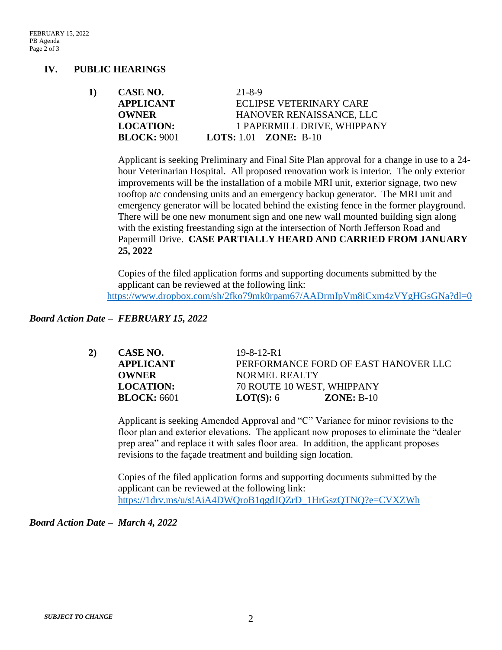### **IV. PUBLIC HEARINGS**

| 1) | CASE NO.         | $21 - 8 - 9$                        |
|----|------------------|-------------------------------------|
|    | <b>APPLICANT</b> | ECLIPSE VETERINARY CARE             |
|    | <b>OWNER</b>     | HANOVER RENAISSANCE, LLC            |
|    | <b>LOCATION:</b> | 1 PAPERMILL DRIVE, WHIPPANY         |
|    | BLOCK: 9001      | <b>LOTS:</b> 1.01 <b>ZONE:</b> B-10 |

Applicant is seeking Preliminary and Final Site Plan approval for a change in use to a 24 hour Veterinarian Hospital. All proposed renovation work is interior. The only exterior improvements will be the installation of a mobile MRI unit, exterior signage, two new rooftop a/c condensing units and an emergency backup generator. The MRI unit and emergency generator will be located behind the existing fence in the former playground. There will be one new monument sign and one new wall mounted building sign along with the existing freestanding sign at the intersection of North Jefferson Road and Papermill Drive. **CASE PARTIALLY HEARD AND CARRIED FROM JANUARY 25, 2022**

Copies of the filed application forms and supporting documents submitted by the applicant can be reviewed at the following link: <https://www.dropbox.com/sh/2fko79mk0rpam67/AADrmIpVm8iCxm4zVYgHGsGNa?dl=0>

#### *Board Action Date – FEBRUARY 15, 2022*

| 2) | CASE NO.         | $19 - 8 - 12 - R1$                   |  |
|----|------------------|--------------------------------------|--|
|    | <b>APPLICANT</b> | PERFORMANCE FORD OF EAST HANOVER LLC |  |
|    | <b>OWNER</b>     | <b>NORMEL REALTY</b>                 |  |
|    | <b>LOCATION:</b> | 70 ROUTE 10 WEST, WHIPPANY           |  |
|    | BLOCK: 6601      | <b>LOT(S):</b> $6$<br>$ZONE: B-10$   |  |

Applicant is seeking Amended Approval and "C" Variance for minor revisions to the floor plan and exterior elevations. The applicant now proposes to eliminate the "dealer prep area" and replace it with sales floor area. In addition, the applicant proposes revisions to the façade treatment and building sign location.

Copies of the filed application forms and supporting documents submitted by the applicant can be reviewed at the following link: [https://1drv.ms/u/s!AiA4DWQroB1qgdJQZrD\\_1HrGszQTNQ?e=CVXZWh](https://1drv.ms/u/s!AiA4DWQroB1qgdJQZrD_1HrGszQTNQ?e=CVXZWh)

*Board Action Date – March 4, 2022*